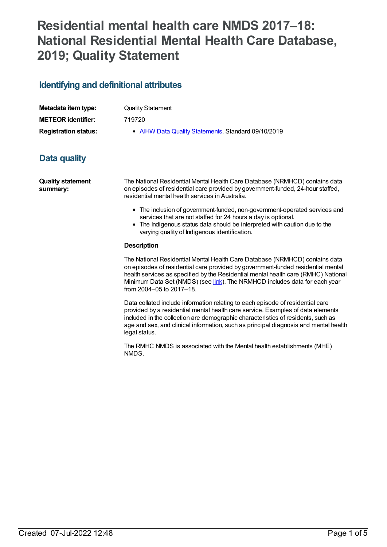# **Residential mental health care NMDS 2017–18: National Residential Mental Health Care Database, 2019; Quality Statement**

## **Identifying and definitional attributes**

| Metadata item type:         |  |
|-----------------------------|--|
| <b>METEOR identifier:</b>   |  |
| <b>Registration status:</b> |  |

**Quality Statement** 

**METEOR identifier:** 719720

**AIHW Data Quality [Statements](https://meteor.aihw.gov.au/RegistrationAuthority/5), Standard 09/10/2019** 

## **Data quality**

**Quality statement summary:**

The National Residential Mental Health Care Database (NRMHCD) contains data on episodes of residential care provided by government-funded, 24-hour staffed, residential mental health services in Australia.

- The inclusion of government-funded, non-government-operated services and services that are not staffed for 24 hours a day is optional.
- The Indigenous status data should be interpreted with caution due to the varying quality of Indigenous identification.

### **Description**

The National Residential Mental Health Care Database (NRMHCD) contains data on episodes of residential care provided by government-funded residential mental health services as specified by the Residential mental health care (RMHC) National Minimum Data Set (NMDS) (see *[link](file:///content/645718)*). The NRMHCD includes data for each year from 2004–05 to 2017–18.

Data collated include information relating to each episode of residential care provided by a residential mental health care service. Examples of data elements included in the collection are demographic characteristics of residents, such as age and sex, and clinical information, such as principal diagnosis and mental health legal status.

The RMHC NMDS is associated with the Mental health establishments (MHE) NMDS.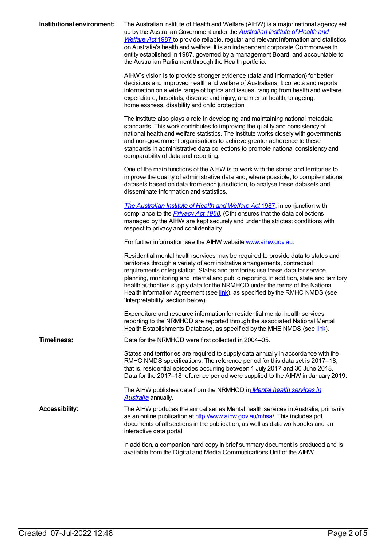| Institutional environment: | The Australian Institute of Health and Welfare (AIHW) is a major national agency set<br>up by the Australian Government under the <b>Australian Institute of Health and</b><br>Welfare Act 1987 to provide reliable, regular and relevant information and statistics<br>on Australia's health and welfare. It is an independent corporate Commonwealth<br>entity established in 1987, governed by a management Board, and accountable to<br>the Australian Parliament through the Health portfolio.                                               |
|----------------------------|---------------------------------------------------------------------------------------------------------------------------------------------------------------------------------------------------------------------------------------------------------------------------------------------------------------------------------------------------------------------------------------------------------------------------------------------------------------------------------------------------------------------------------------------------|
|                            | AIHW's vision is to provide stronger evidence (data and information) for better<br>decisions and improved health and welfare of Australians. It collects and reports<br>information on a wide range of topics and issues, ranging from health and welfare<br>expenditure, hospitals, disease and injury, and mental health, to ageing,<br>homelessness, disability and child protection.                                                                                                                                                          |
|                            | The Institute also plays a role in developing and maintaining national metadata<br>standards. This work contributes to improving the quality and consistency of<br>national health and welfare statistics. The Institute works closely with governments<br>and non-government organisations to achieve greater adherence to these<br>standards in administrative data collections to promote national consistency and<br>comparability of data and reporting.                                                                                     |
|                            | One of the main functions of the AIHW is to work with the states and territories to<br>improve the quality of administrative data and, where possible, to compile national<br>datasets based on data from each jurisdiction, to analyse these datasets and<br>disseminate information and statistics.                                                                                                                                                                                                                                             |
|                            | The Australian Institute of Health and Welfare Act 1987, in conjunction with<br>compliance to the <i>Privacy Act 1988</i> , (Cth) ensures that the data collections<br>managed by the AIHW are kept securely and under the strictest conditions with<br>respect to privacy and confidentiality.                                                                                                                                                                                                                                                   |
|                            | For further information see the AIHW website www.aihw.gov.au.                                                                                                                                                                                                                                                                                                                                                                                                                                                                                     |
|                            | Residential mental health services may be required to provide data to states and<br>territories through a variety of administrative arrangements, contractual<br>requirements or legislation. States and territories use these data for service<br>planning, monitoring and internal and public reporting. In addition, state and territory<br>health authorities supply data for the NRMHCD under the terms of the National<br>Health Information Agreement (see link), as specified by the RMHC NMDS (see<br>'Interpretability' section below). |
|                            | Expenditure and resource information for residential mental health services<br>reporting to the NRMHCD are reported through the associated National Mental<br>Health Establishments Database, as specified by the MHE NMDS (see link).                                                                                                                                                                                                                                                                                                            |
| <b>Timeliness:</b>         | Data for the NRMHCD were first collected in 2004–05.                                                                                                                                                                                                                                                                                                                                                                                                                                                                                              |
|                            | States and territories are required to supply data annually in accordance with the<br>RMHC NMDS specifications. The reference period for this data set is 2017–18,<br>that is, residential episodes occurring between 1 July 2017 and 30 June 2018.<br>Data for the 2017-18 reference period were supplied to the AIHW in January 2019.                                                                                                                                                                                                           |
|                            | The AIHW publishes data from the NRMHCD in Mental health services in<br>Australia annually.                                                                                                                                                                                                                                                                                                                                                                                                                                                       |
| <b>Accessibility:</b>      | The AIHW produces the annual series Mental health services in Australia, primarily<br>as an online publication at http://www.aihw.gov.au/mhsa/. This includes pdf<br>documents of all sections in the publication, as well as data workbooks and an<br>interactive data portal.                                                                                                                                                                                                                                                                   |
|                            | In addition, a companion hard copy In brief summary document is produced and is<br>available from the Digital and Media Communications Unit of the AIHW.                                                                                                                                                                                                                                                                                                                                                                                          |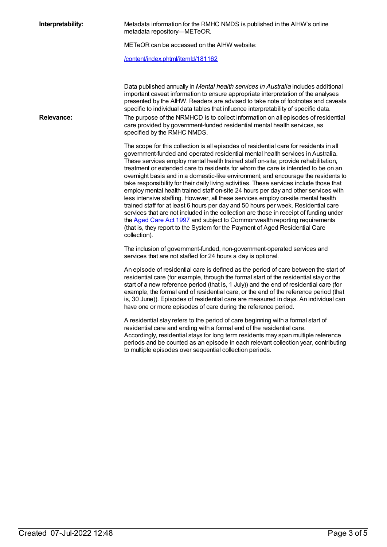| Interpretability: | Metadata information for the RMHC NMDS is published in the AlHW's online<br>metadata repository-METeOR.                                                                                                                                                                                                                                                                                                                                                                                                                                                                                                                                                                                                                                                                                                                                                                                                                                                                                                                                                                         |
|-------------------|---------------------------------------------------------------------------------------------------------------------------------------------------------------------------------------------------------------------------------------------------------------------------------------------------------------------------------------------------------------------------------------------------------------------------------------------------------------------------------------------------------------------------------------------------------------------------------------------------------------------------------------------------------------------------------------------------------------------------------------------------------------------------------------------------------------------------------------------------------------------------------------------------------------------------------------------------------------------------------------------------------------------------------------------------------------------------------|
|                   | METeOR can be accessed on the AIHW website:                                                                                                                                                                                                                                                                                                                                                                                                                                                                                                                                                                                                                                                                                                                                                                                                                                                                                                                                                                                                                                     |
|                   | /content/index.phtml/itemld/181162                                                                                                                                                                                                                                                                                                                                                                                                                                                                                                                                                                                                                                                                                                                                                                                                                                                                                                                                                                                                                                              |
| <b>Relevance:</b> | Data published annually in Mental health services in Australia includes additional<br>important caveat information to ensure appropriate interpretation of the analyses<br>presented by the AIHW. Readers are advised to take note of footnotes and caveats<br>specific to individual data tables that influence interpretability of specific data.<br>The purpose of the NRMHCD is to collect information on all episodes of residential<br>care provided by government-funded residential mental health services, as<br>specified by the RMHC NMDS.                                                                                                                                                                                                                                                                                                                                                                                                                                                                                                                           |
|                   | The scope for this collection is all episodes of residential care for residents in all<br>government-funded and operated residential mental health services in Australia.<br>These services employ mental health trained staff on-site; provide rehabilitation,<br>treatment or extended care to residents for whom the care is intended to be on an<br>overnight basis and in a domestic-like environment; and encourage the residents to<br>take responsibility for their daily living activities. These services include those that<br>employ mental health trained staff on-site 24 hours per day and other services with<br>less intensive staffing. However, all these services employ on-site mental health<br>trained staff for at least 6 hours per day and 50 hours per week. Residential care<br>services that are not included in the collection are those in receipt of funding under<br>the Aged Care Act 1997 and subject to Commonwealth reporting requirements<br>(that is, they report to the System for the Payment of Aged Residential Care<br>collection). |
|                   | The inclusion of government-funded, non-government-operated services and<br>services that are not staffed for 24 hours a day is optional.                                                                                                                                                                                                                                                                                                                                                                                                                                                                                                                                                                                                                                                                                                                                                                                                                                                                                                                                       |
|                   | An episode of residential care is defined as the period of care between the start of<br>residential care (for example, through the formal start of the residential stay or the<br>start of a new reference period (that is, 1 July)) and the end of residential care (for<br>example, the formal end of residential care, or the end of the reference period (that<br>is, 30 June)). Episodes of residential care are measured in days. An individual can<br>have one or more episodes of care during the reference period.                                                                                                                                                                                                                                                                                                                                                                                                                                                                                                                                                     |
|                   | A residential stay refers to the period of care beginning with a formal start of<br>residential care and ending with a formal end of the residential care.<br>Accordingly, residential stays for long term residents may span multiple reference<br>periods and be counted as an episode in each relevant collection year, contributing<br>to multiple episodes over sequential collection periods.                                                                                                                                                                                                                                                                                                                                                                                                                                                                                                                                                                                                                                                                             |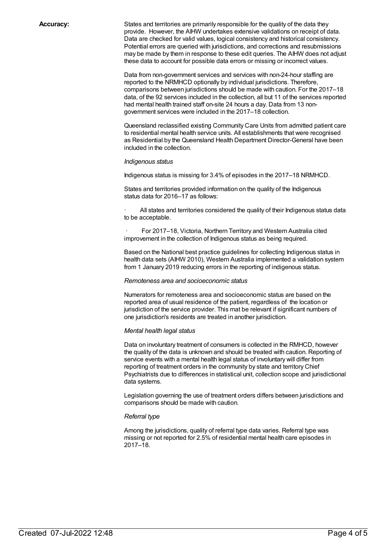**Accuracy:** States and territories are primarily responsible for the quality of the data they provide. However, the AIHW undertakes extensive validations on receipt of data. Data are checked for valid values, logical consistency and historical consistency. Potential errors are queried with jurisdictions, and corrections and resubmissions may be made by them in response to these edit queries. The AIHW does not adjust these data to account for possible data errors or missing or incorrect values.

> Data from non-government services and services with non-24-hour staffing are reported to the NRMHCD optionally by individual jurisdictions. Therefore, comparisons between jurisdictions should be made with caution. For the 2017–18 data, of the 92 services included in the collection, all but 11 of the services reported had mental health trained staff on-site 24 hours a day. Data from 13 nongovernment services were included in the 2017–18 collection.

> Queensland reclassified existing Community Care Units from admitted patient care to residential mental health service units. All establishments that were recognised as Residential by the Queensland Health Department Director-General have been included in the collection.

#### *Indigenous status*

Indigenous status is missing for 3.4% of episodes in the 2017–18 NRMHCD.

States and territories provided information on the quality of the Indigenous status data for 2016–17 as follows:

All states and territories considered the quality of their Indigenous status data to be acceptable.

For 2017–18, Victoria, Northern Territory and Western Australia cited improvement in the collection of Indigenous status as being required.

Based on the National best practice guidelines for collecting Indigenous status in health data sets (AIHW 2010), Western Australia implemented a validation system from 1 January 2019 reducing errors in the reporting of indigenous status.

#### *Remoteness area and socioeconomic status*

Numerators for remoteness area and socioeconomic status are based on the reported area of usual residence of the patient, regardless of the location or jurisdiction of the service provider. This mat be relevant if significant numbers of one jurisdiction's residents are treated in another jurisdiction.

#### *Mental health legal status*

Data on involuntary treatment of consumers is collected in the RMHCD, however the quality of the data is unknown and should be treated with caution. Reporting of service events with a mental health legal status of involuntary will differ from reporting of treatment orders in the community by state and territory Chief Psychiatrists due to differences in statistical unit, collection scope and jurisdictional data systems.

Legislation governing the use of treatment orders differs between jurisdictions and comparisons should be made with caution.

#### *Referral type*

Among the jurisdictions, quality of referral type data varies. Referral type was missing or not reported for 2.5% of residential mental health care episodes in 2017–18.